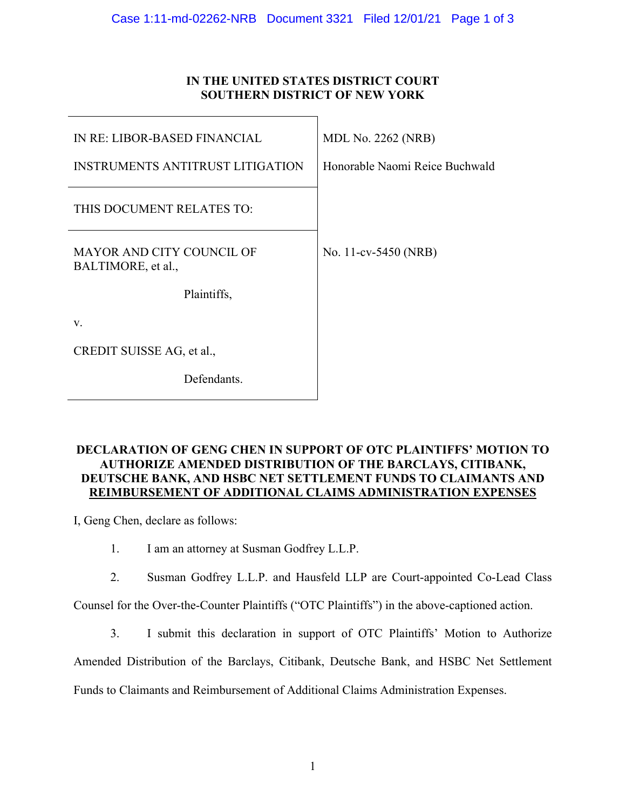## **IN THE UNITED STATES DISTRICT COURT SOUTHERN DISTRICT OF NEW YORK**

| IN RE: LIBOR-BASED FINANCIAL                           | <b>MDL No. 2262 (NRB)</b>      |
|--------------------------------------------------------|--------------------------------|
| <b>INSTRUMENTS ANTITRUST LITIGATION</b>                | Honorable Naomi Reice Buchwald |
| THIS DOCUMENT RELATES TO:                              |                                |
| <b>MAYOR AND CITY COUNCIL OF</b><br>BALTIMORE, et al., | No. 11-cv-5450 (NRB)           |
| Plaintiffs,                                            |                                |
| V.                                                     |                                |
| CREDIT SUISSE AG, et al.,                              |                                |
| Defendants.                                            |                                |

## **DECLARATION OF GENG CHEN IN SUPPORT OF OTC PLAINTIFFS' MOTION TO AUTHORIZE AMENDED DISTRIBUTION OF THE BARCLAYS, CITIBANK, DEUTSCHE BANK, AND HSBC NET SETTLEMENT FUNDS TO CLAIMANTS AND REIMBURSEMENT OF ADDITIONAL CLAIMS ADMINISTRATION EXPENSES**

I, Geng Chen, declare as follows:

1. I am an attorney at Susman Godfrey L.L.P.

2. Susman Godfrey L.L.P. and Hausfeld LLP are Court-appointed Co-Lead Class

Counsel for the Over-the-Counter Plaintiffs ("OTC Plaintiffs") in the above-captioned action.

3. I submit this declaration in support of OTC Plaintiffs' Motion to Authorize

Amended Distribution of the Barclays, Citibank, Deutsche Bank, and HSBC Net Settlement

Funds to Claimants and Reimbursement of Additional Claims Administration Expenses.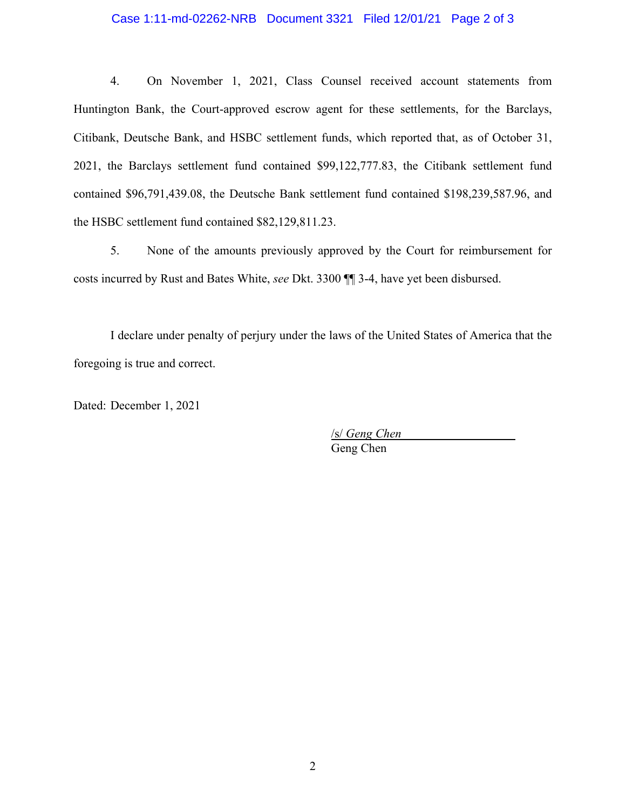## Case 1:11-md-02262-NRB Document 3321 Filed 12/01/21 Page 2 of 3

4. On November 1, 2021, Class Counsel received account statements from Huntington Bank, the Court-approved escrow agent for these settlements, for the Barclays, Citibank, Deutsche Bank, and HSBC settlement funds, which reported that, as of October 31, 2021, the Barclays settlement fund contained \$99,122,777.83, the Citibank settlement fund contained \$96,791,439.08, the Deutsche Bank settlement fund contained \$198,239,587.96, and the HSBC settlement fund contained \$82,129,811.23.

5. None of the amounts previously approved by the Court for reimbursement for costs incurred by Rust and Bates White, *see* Dkt. 3300 ¶¶ 3-4, have yet been disbursed.

I declare under penalty of perjury under the laws of the United States of America that the foregoing is true and correct.

Dated: December 1, 2021

/s/ *Geng Chen* 

Geng Chen